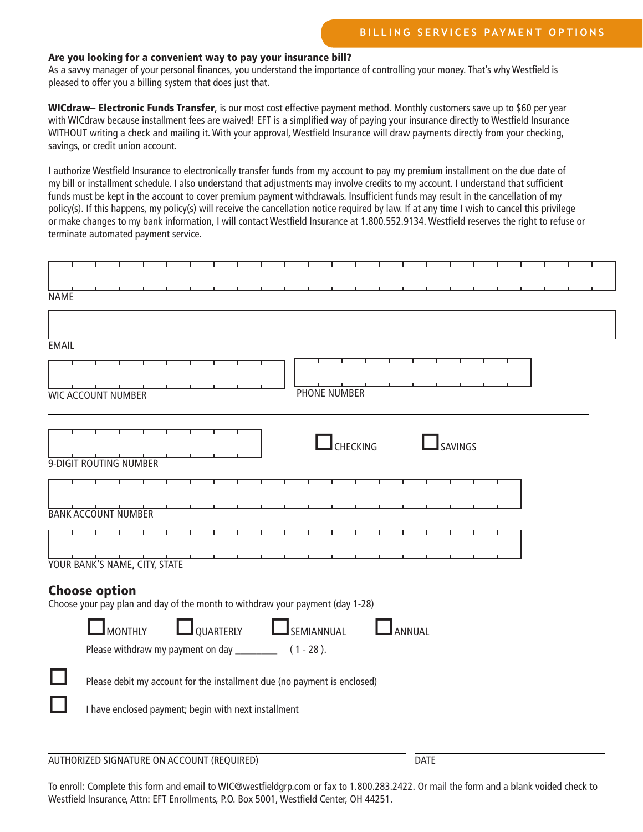# Are you looking for a convenient way to pay your insurance bill?

As a savvy manager of your personal finances, you understand the importance of controlling your money. That's why Westfield is pleased to offer you a billing system that does just that.

WICdraw– Electronic Funds Transfer, is our most cost effective payment method. Monthly customers save up to \$60 per year with WICdraw because installment fees are waived! EFT is a simplified way of paying your insurance directly to Westfield Insurance WITHOUT writing a check and mailing it. With your approval, Westfield Insurance will draw payments directly from your checking, savings, or credit union account.

I authorize Westfield Insurance to electronically transfer funds from my account to pay my premium installment on the due date of my bill or installment schedule. I also understand that adjustments may involve credits to my account. I understand that sufficient funds must be kept in the account to cover premium payment withdrawals. Insufficient funds may result in the cancellation of my policy(s). If this happens, my policy(s) will receive the cancellation notice required by law. If at any time I wish to cancel this privilege or make changes to my bank information, I will contact Westfield Insurance at 1.800.552.9134. Westfield reserves the right to refuse or terminate automated payment service.

| <b>NAME</b>                                                                                           |                                                                                                                            |                                                      |  |  |  |  |  |  |  |                                                                          |  |  |  |  |  |  |  |  |  |
|-------------------------------------------------------------------------------------------------------|----------------------------------------------------------------------------------------------------------------------------|------------------------------------------------------|--|--|--|--|--|--|--|--------------------------------------------------------------------------|--|--|--|--|--|--|--|--|--|
|                                                                                                       |                                                                                                                            |                                                      |  |  |  |  |  |  |  |                                                                          |  |  |  |  |  |  |  |  |  |
| <b>EMAIL</b>                                                                                          |                                                                                                                            |                                                      |  |  |  |  |  |  |  |                                                                          |  |  |  |  |  |  |  |  |  |
|                                                                                                       |                                                                                                                            |                                                      |  |  |  |  |  |  |  |                                                                          |  |  |  |  |  |  |  |  |  |
| <b>WIC ACCOUNT NUMBER</b>                                                                             |                                                                                                                            |                                                      |  |  |  |  |  |  |  | <b>PHONE NUMBER</b>                                                      |  |  |  |  |  |  |  |  |  |
|                                                                                                       |                                                                                                                            |                                                      |  |  |  |  |  |  |  |                                                                          |  |  |  |  |  |  |  |  |  |
|                                                                                                       | SAVINGS<br>CHECKING<br>9-DIGIT ROUTING NUMBER                                                                              |                                                      |  |  |  |  |  |  |  |                                                                          |  |  |  |  |  |  |  |  |  |
|                                                                                                       |                                                                                                                            |                                                      |  |  |  |  |  |  |  |                                                                          |  |  |  |  |  |  |  |  |  |
| <b>BANK ACCOUNT NUMBER</b>                                                                            |                                                                                                                            |                                                      |  |  |  |  |  |  |  |                                                                          |  |  |  |  |  |  |  |  |  |
|                                                                                                       |                                                                                                                            |                                                      |  |  |  |  |  |  |  |                                                                          |  |  |  |  |  |  |  |  |  |
| YOUR BANK'S NAME, CITY, STATE                                                                         |                                                                                                                            |                                                      |  |  |  |  |  |  |  |                                                                          |  |  |  |  |  |  |  |  |  |
| <b>Choose option</b><br>Choose your pay plan and day of the month to withdraw your payment (day 1-28) |                                                                                                                            |                                                      |  |  |  |  |  |  |  |                                                                          |  |  |  |  |  |  |  |  |  |
|                                                                                                       | <b>LOUARTERLY</b><br><b>MONTHLY</b><br>ANNUAL<br>SEMIANNUAL<br>Please withdraw my payment on day _________<br>$(1 - 28)$ . |                                                      |  |  |  |  |  |  |  |                                                                          |  |  |  |  |  |  |  |  |  |
|                                                                                                       |                                                                                                                            |                                                      |  |  |  |  |  |  |  | Please debit my account for the installment due (no payment is enclosed) |  |  |  |  |  |  |  |  |  |
|                                                                                                       |                                                                                                                            | I have enclosed payment; begin with next installment |  |  |  |  |  |  |  |                                                                          |  |  |  |  |  |  |  |  |  |
|                                                                                                       |                                                                                                                            |                                                      |  |  |  |  |  |  |  |                                                                          |  |  |  |  |  |  |  |  |  |

AUTHORIZED SIGNATURE ON ACCOUNT (REQUIRED) DATE

To enroll: Complete this form and email to WIC@westfieldgrp.com or fax to 1.800.283.2422. Or mail the form and a blank voided check to Westfield Insurance, Attn: EFT Enrollments, P.O. Box 5001, Westfield Center, OH 44251.